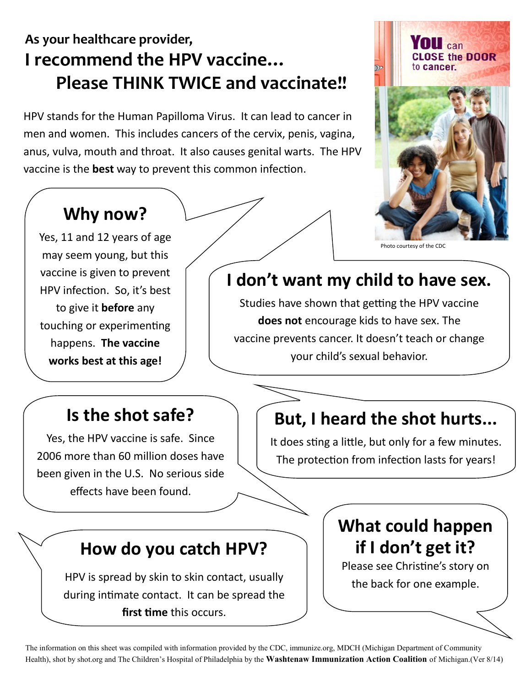# **As your healthcare provider, I recommend the HPV vaccine… Please THINK TWICE and vaccinate!!**

HPV stands for the Human Papilloma Virus. It can lead to cancer in men and women. This includes cancers of the cervix, penis, vagina, anus, vulva, mouth and throat. It also causes genital warts. The HPV vaccine is the **best** way to prevent this common infection.



#### Photo courtesy of the CDC

# **Why now?**

Yes, 11 and 12 years of age may seem young, but this vaccine is given to prevent HPV infection. So, it's best to give it **before** any touching or experimenting happens. **The vaccine works best at this age!**

## **I don't want my child to have sex.**

Studies have shown that getting the HPV vaccine **does not** encourage kids to have sex. The vaccine prevents cancer. It doesn't teach or change your child's sexual behavior.

### **Is the shot safe?**

Yes, the HPV vaccine is safe. Since 2006 more than 60 million doses have been given in the U.S. No serious side effects have been found.

## **But, I heard the shot hurts...**

It does sting a little, but only for a few minutes. The protection from infection lasts for years!

### **How do you catch HPV?**

HPV is spread by skin to skin contact, usually during intimate contact. It can be spread the **first time** this occurs.

## **What could happen if I don't get it?**

Please see Christine's story on the back for one example.

The information on this sheet was compiled with information provided by the CDC, immunize.org, MDCH (Michigan Department of Community Health), shot by shot.org and The Children's Hospital of Philadelphia by the **Washtenaw Immunization Action Coalition** of Michigan.(Ver 8/14)